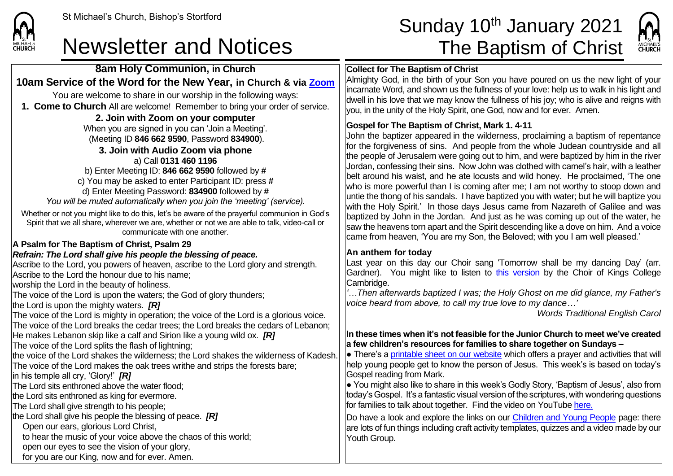

**8am Holy Communion, in Church 10am Service of the Word for the New Year, in Church & via [Zoom](https://zoom.us/)** You are welcome to share in our worship in the following ways: **1. Come to Church** All are welcome! Remember to bring your order of service.

## St Michael's Church, Bishop's Stortford **Sunday 10<sup>th</sup> January 2021** Newsletter and Notices The Baptism of Christ



#### **Collect for The Baptism of Christ**

Almighty God, in the birth of your Son you have poured on us the new light of your incarnate Word, and shown us the fullness of your love: help us to walk in his light and dwell in his love that we may know the fullness of his joy; who is alive and reigns with you, in the unity of the Holy Spirit, one God, now and for ever. Amen.

#### **Gospel for The Baptism of Christ, Mark 1. 4-11**

John the baptizer appeared in the wilderness, proclaiming a baptism of repentance for the forgiveness of sins. And people from the whole Judean countryside and all the people of Jerusalem were going out to him, and were baptized by him in the river Jordan, confessing their sins. Now John was clothed with camel's hair, with a leather belt around his waist, and he ate locusts and wild honey. He proclaimed, 'The one who is more powerful than I is coming after me; I am not worthy to stoop down and untie the thong of his sandals. I have baptized you with water; but he will baptize you with the Holy Spirit.' In those days Jesus came from Nazareth of Galilee and was baptized by John in the Jordan. And just as he was coming up out of the water, he saw the heavens torn apart and the Spirit descending like a dove on him. And a voice came from heaven, 'You are my Son, the Beloved; with you I am well pleased.'

### **An anthem for today**

Last year on this day our Choir sang 'Tomorrow shall be my dancing Day' (arr. Gardner). You might like to listen to [this version](https://www.youtube.com/watch?v=OiNktUBcvNs) by the Choir of Kings College Cambridge.

*'…Then afterwards baptized I was; the Holy Ghost on me did glance, my Father's voice heard from above, to call my true love to my dance…'*

*Words Traditional English Carol*

#### **In these times when it's not feasible for the Junior Church to meet we've created a few children's resources for families to share together on Sundays –**

 $\bullet$  There's a [printable sheet on our website](https://saintmichaelweb.org.uk/Groups/310496/Children_and_Young.aspx) which offers a prayer and activities that will help young people get to know the person of Jesus. This week's is based on today's Gospel reading from Mark.

● You might also like to share in this week's Godly Story, 'Baptism of Jesus', also from today's Gospel. It's a fantastic visual version of the scriptures, with wondering questions for families to talk about together. Find the video on YouTube [here.](https://www.youtube.com/watch?v=4MkJStSXLq8)

Do have a look and explore the links on our [Children and Young People](https://saintmichaelweb.org.uk/Groups/310496/Children_and_Young.aspx) page: there are lots of fun things including craft activity templates, quizzes and a video made by our Youth Group.

**2. Join with Zoom on your computer** When you are signed in you can 'Join a Meeting'. (Meeting ID **846 662 9590**, Password **834900**). **3. Join with Audio Zoom via phone**  a) Call **0131 460 1196** b) Enter Meeting ID: **846 662 9590** followed by **#** c) You may be asked to enter Participant ID: press **#** d) Enter Meeting Password: **834900** followed by **#**

*You will be muted automatically when you join the 'meeting' (service).*

Whether or not you might like to do this, let's be aware of the prayerful communion in God's Spirit that we all share, wherever we are, whether or not we are able to talk, video-call or communicate with one another.

### **A Psalm for The Baptism of Christ, Psalm 29**

### *Refrain: The Lord shall give his people the blessing of peace.*

Ascribe to the Lord, you powers of heaven, ascribe to the Lord glory and strength. Ascribe to the Lord the honour due to his name; worship the Lord in the beauty of holiness. The voice of the Lord is upon the waters; the God of glory thunders; the Lord is upon the mighty waters. *[R]* The voice of the Lord is mighty in operation; the voice of the Lord is a glorious voice. The voice of the Lord breaks the cedar trees; the Lord breaks the cedars of Lebanon; He makes Lebanon skip like a calf and Sirion like a young wild ox. *[R]* The voice of the Lord splits the flash of lightning; the voice of the Lord shakes the wilderness; the Lord shakes the wilderness of Kadesh. The voice of the Lord makes the oak trees writhe and strips the forests bare; in his temple all cry, 'Glory!' *[R]* The Lord sits enthroned above the water flood; the Lord sits enthroned as king for evermore. The Lord shall give strength to his people; the Lord shall give his people the blessing of peace. *[R]* Open our ears, glorious Lord Christ, to hear the music of your voice above the chaos of this world; open our eyes to see the vision of your glory,

for you are our King, now and for ever. Amen.